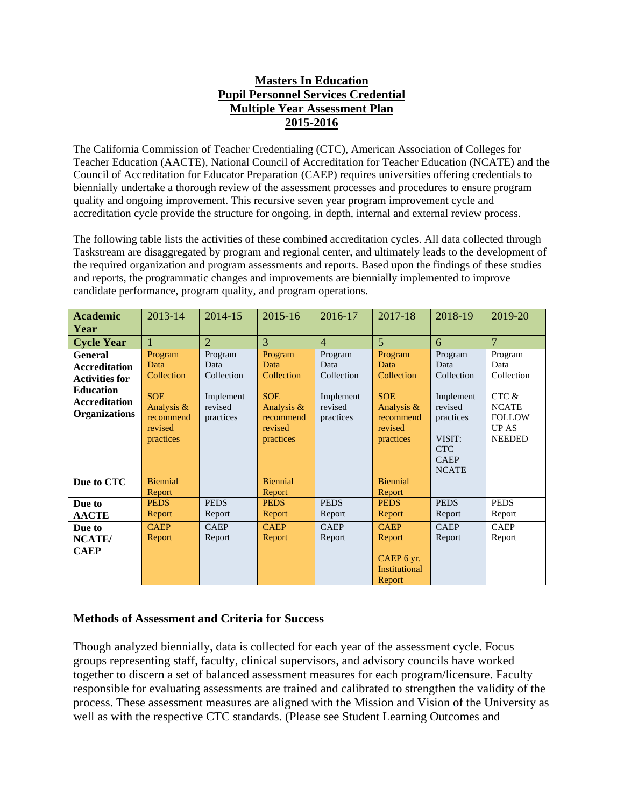## **Masters In Education Pupil Personnel Services Credential Multiple Year Assessment Plan 2015-2016**

The California Commission of Teacher Credentialing (CTC), American Association of Colleges for Teacher Education (AACTE), National Council of Accreditation for Teacher Education (NCATE) and the Council of Accreditation for Educator Preparation (CAEP) requires universities offering credentials to biennially undertake a thorough review of the assessment processes and procedures to ensure program quality and ongoing improvement. This recursive seven year program improvement cycle and accreditation cycle provide the structure for ongoing, in depth, internal and external review process.

The following table lists the activities of these combined accreditation cycles. All data collected through Taskstream are disaggregated by program and regional center, and ultimately leads to the development of the required organization and program assessments and reports. Based upon the findings of these studies and reports, the programmatic changes and improvements are biennially implemented to improve candidate performance, program quality, and program operations.

| <b>Academic</b>                                                                                                                     | 2013-14                                                                                        | 2014-15                                                            | 2015-16                                                                                        | 2016-17                                                            | 2017-18                                                                                        | 2018-19                                                                                                                   | 2019-20                                                                                                  |
|-------------------------------------------------------------------------------------------------------------------------------------|------------------------------------------------------------------------------------------------|--------------------------------------------------------------------|------------------------------------------------------------------------------------------------|--------------------------------------------------------------------|------------------------------------------------------------------------------------------------|---------------------------------------------------------------------------------------------------------------------------|----------------------------------------------------------------------------------------------------------|
| Year                                                                                                                                |                                                                                                |                                                                    |                                                                                                |                                                                    |                                                                                                |                                                                                                                           |                                                                                                          |
| <b>Cycle Year</b>                                                                                                                   |                                                                                                | $\overline{2}$                                                     | 3                                                                                              | $\overline{4}$                                                     | $\overline{5}$                                                                                 | 6                                                                                                                         | $\overline{7}$                                                                                           |
| <b>General</b><br><b>Accreditation</b><br><b>Activities for</b><br><b>Education</b><br><b>Accreditation</b><br><b>Organizations</b> | Program<br>Data<br>Collection<br><b>SOE</b><br>Analysis &<br>recommend<br>revised<br>practices | Program<br>Data<br>Collection<br>Implement<br>revised<br>practices | Program<br>Data<br>Collection<br><b>SOE</b><br>Analysis &<br>recommend<br>revised<br>practices | Program<br>Data<br>Collection<br>Implement<br>revised<br>practices | Program<br>Data<br>Collection<br><b>SOE</b><br>Analysis &<br>recommend<br>revised<br>practices | Program<br>Data<br>Collection<br>Implement<br>revised<br>practices<br>VISIT:<br><b>CTC</b><br><b>CAEP</b><br><b>NCATE</b> | Program<br>Data<br>Collection<br>CTC &<br><b>NCATE</b><br><b>FOLLOW</b><br><b>UP AS</b><br><b>NEEDED</b> |
| Due to CTC                                                                                                                          | <b>Biennial</b><br>Report                                                                      |                                                                    | <b>Biennial</b><br>Report                                                                      |                                                                    | <b>Biennial</b><br>Report                                                                      |                                                                                                                           |                                                                                                          |
| Due to                                                                                                                              | <b>PEDS</b>                                                                                    | <b>PEDS</b>                                                        | <b>PEDS</b>                                                                                    | <b>PEDS</b>                                                        | <b>PEDS</b>                                                                                    | <b>PEDS</b>                                                                                                               | <b>PEDS</b>                                                                                              |
| <b>AACTE</b>                                                                                                                        | Report                                                                                         | Report                                                             | Report                                                                                         | Report                                                             | Report                                                                                         | Report                                                                                                                    | Report                                                                                                   |
| Due to                                                                                                                              | <b>CAEP</b>                                                                                    | <b>CAEP</b>                                                        | <b>CAEP</b>                                                                                    | <b>CAEP</b>                                                        | <b>CAEP</b>                                                                                    | <b>CAEP</b>                                                                                                               | <b>CAEP</b>                                                                                              |
| NCATE/                                                                                                                              | Report                                                                                         | Report                                                             | Report                                                                                         | Report                                                             | Report                                                                                         | Report                                                                                                                    | Report                                                                                                   |
| <b>CAEP</b>                                                                                                                         |                                                                                                |                                                                    |                                                                                                |                                                                    | CAEP 6 yr.<br><b>Institutional</b><br>Report                                                   |                                                                                                                           |                                                                                                          |

## **Methods of Assessment and Criteria for Success**

Though analyzed biennially, data is collected for each year of the assessment cycle. Focus groups representing staff, faculty, clinical supervisors, and advisory councils have worked together to discern a set of balanced assessment measures for each program/licensure. Faculty responsible for evaluating assessments are trained and calibrated to strengthen the validity of the process. These assessment measures are aligned with the Mission and Vision of the University as well as with the respective CTC standards. (Please see Student Learning Outcomes and